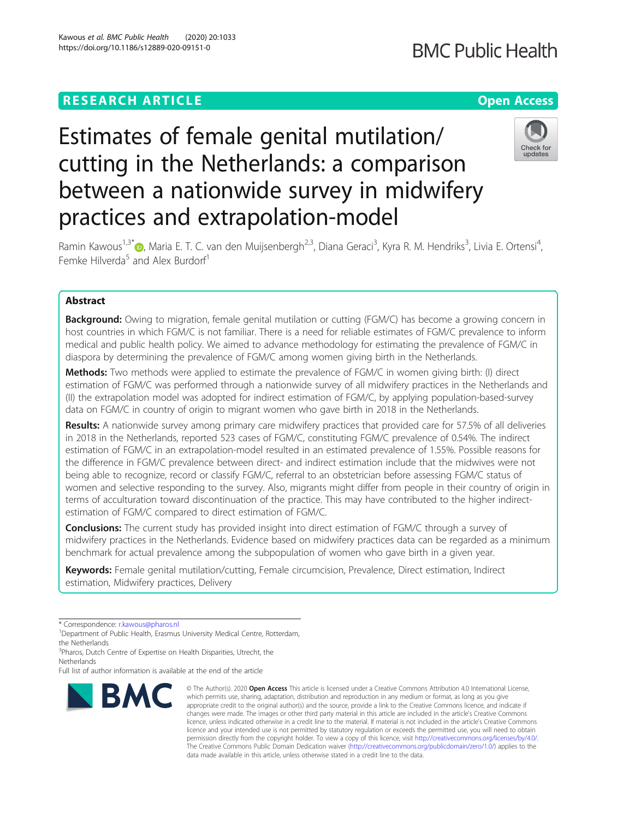### **RESEARCH ARTICLE Example 2014 12:30 The Contract of Contract ACCESS**

## **BMC Public Health**

# Estimates of female genital mutilation/ cutting in the Netherlands: a comparison between a nationwide survey in midwifery practices and extrapolation-model



Ramin Kawous<sup>1[,](http://orcid.org/0000-0003-3516-0357)3\*</sup>�, Maria E. T. C. van den Muijsenbergh<sup>2,3</sup>, Diana Geraci<sup>3</sup>, Kyra R. M. Hendriks<sup>3</sup>, Livia E. Ortensi<sup>4</sup> , Femke Hilverda<sup>5</sup> and Alex Burdorf<sup>1</sup>

### Abstract

**Background:** Owing to migration, female genital mutilation or cutting (FGM/C) has become a growing concern in host countries in which FGM/C is not familiar. There is a need for reliable estimates of FGM/C prevalence to inform medical and public health policy. We aimed to advance methodology for estimating the prevalence of FGM/C in diaspora by determining the prevalence of FGM/C among women giving birth in the Netherlands.

Methods: Two methods were applied to estimate the prevalence of FGM/C in women giving birth: (I) direct estimation of FGM/C was performed through a nationwide survey of all midwifery practices in the Netherlands and (II) the extrapolation model was adopted for indirect estimation of FGM/C, by applying population-based-survey data on FGM/C in country of origin to migrant women who gave birth in 2018 in the Netherlands.

Results: A nationwide survey among primary care midwifery practices that provided care for 57.5% of all deliveries in 2018 in the Netherlands, reported 523 cases of FGM/C, constituting FGM/C prevalence of 0.54%. The indirect estimation of FGM/C in an extrapolation-model resulted in an estimated prevalence of 1.55%. Possible reasons for the difference in FGM/C prevalence between direct- and indirect estimation include that the midwives were not being able to recognize, record or classify FGM/C, referral to an obstetrician before assessing FGM/C status of women and selective responding to the survey. Also, migrants might differ from people in their country of origin in terms of acculturation toward discontinuation of the practice. This may have contributed to the higher indirectestimation of FGM/C compared to direct estimation of FGM/C.

**Conclusions:** The current study has provided insight into direct estimation of FGM/C through a survey of midwifery practices in the Netherlands. Evidence based on midwifery practices data can be regarded as a minimum benchmark for actual prevalence among the subpopulation of women who gave birth in a given year.

Keywords: Female genital mutilation/cutting, Female circumcision, Prevalence, Direct estimation, Indirect estimation, Midwifery practices, Delivery

\* Correspondence: [r.kawous@pharos.nl](mailto:r.kawous@pharos.nl) <sup>1</sup>

<sup>1</sup>Department of Public Health, Erasmus University Medical Centre, Rotterdam, the Netherlands

<sup>3</sup>Pharos, Dutch Centre of Expertise on Health Disparities, Utrecht, the **Netherlands** 

Full list of author information is available at the end of the article



<sup>©</sup> The Author(s), 2020 **Open Access** This article is licensed under a Creative Commons Attribution 4.0 International License, which permits use, sharing, adaptation, distribution and reproduction in any medium or format, as long as you give appropriate credit to the original author(s) and the source, provide a link to the Creative Commons licence, and indicate if changes were made. The images or other third party material in this article are included in the article's Creative Commons licence, unless indicated otherwise in a credit line to the material. If material is not included in the article's Creative Commons licence and your intended use is not permitted by statutory regulation or exceeds the permitted use, you will need to obtain permission directly from the copyright holder. To view a copy of this licence, visit [http://creativecommons.org/licenses/by/4.0/.](http://creativecommons.org/licenses/by/4.0/) The Creative Commons Public Domain Dedication waiver [\(http://creativecommons.org/publicdomain/zero/1.0/](http://creativecommons.org/publicdomain/zero/1.0/)) applies to the data made available in this article, unless otherwise stated in a credit line to the data.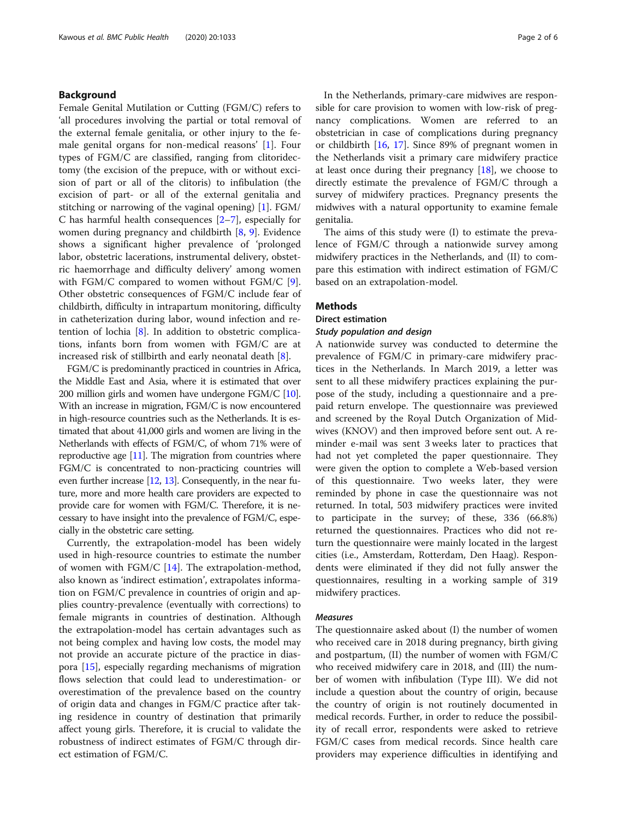#### Background

Female Genital Mutilation or Cutting (FGM/C) refers to 'all procedures involving the partial or total removal of the external female genitalia, or other injury to the female genital organs for non-medical reasons' [[1](#page-5-0)]. Four types of FGM/C are classified, ranging from clitoridectomy (the excision of the prepuce, with or without excision of part or all of the clitoris) to infibulation (the excision of part- or all of the external genitalia and stitching or narrowing of the vaginal opening) [\[1](#page-5-0)]. FGM/ C has harmful health consequences [[2](#page-5-0)–[7\]](#page-5-0), especially for women during pregnancy and childbirth [\[8](#page-5-0), [9](#page-5-0)]. Evidence shows a significant higher prevalence of 'prolonged labor, obstetric lacerations, instrumental delivery, obstetric haemorrhage and difficulty delivery' among women with FGM/C compared to women without FGM/C [\[9](#page-5-0)]. Other obstetric consequences of FGM/C include fear of childbirth, difficulty in intrapartum monitoring, difficulty in catheterization during labor, wound infection and retention of lochia [[8\]](#page-5-0). In addition to obstetric complications, infants born from women with FGM/C are at increased risk of stillbirth and early neonatal death [[8\]](#page-5-0).

FGM/C is predominantly practiced in countries in Africa, the Middle East and Asia, where it is estimated that over 200 million girls and women have undergone FGM/C [\[10](#page-5-0)]. With an increase in migration, FGM/C is now encountered in high-resource countries such as the Netherlands. It is estimated that about 41,000 girls and women are living in the Netherlands with effects of FGM/C, of whom 71% were of reproductive age [\[11](#page-5-0)]. The migration from countries where FGM/C is concentrated to non-practicing countries will even further increase [\[12,](#page-5-0) [13\]](#page-5-0). Consequently, in the near future, more and more health care providers are expected to provide care for women with FGM/C. Therefore, it is necessary to have insight into the prevalence of FGM/C, especially in the obstetric care setting.

Currently, the extrapolation-model has been widely used in high-resource countries to estimate the number of women with  $FGM/C$  [\[14\]](#page-5-0). The extrapolation-method, also known as 'indirect estimation', extrapolates information on FGM/C prevalence in countries of origin and applies country-prevalence (eventually with corrections) to female migrants in countries of destination. Although the extrapolation-model has certain advantages such as not being complex and having low costs, the model may not provide an accurate picture of the practice in diaspora [[15\]](#page-5-0), especially regarding mechanisms of migration flows selection that could lead to underestimation- or overestimation of the prevalence based on the country of origin data and changes in FGM/C practice after taking residence in country of destination that primarily affect young girls. Therefore, it is crucial to validate the robustness of indirect estimates of FGM/C through direct estimation of FGM/C.

In the Netherlands, primary-care midwives are responsible for care provision to women with low-risk of pregnancy complications. Women are referred to an obstetrician in case of complications during pregnancy or childbirth [\[16,](#page-5-0) [17\]](#page-5-0). Since 89% of pregnant women in the Netherlands visit a primary care midwifery practice at least once during their pregnancy [\[18](#page-5-0)], we choose to directly estimate the prevalence of FGM/C through a survey of midwifery practices. Pregnancy presents the midwives with a natural opportunity to examine female genitalia.

The aims of this study were (I) to estimate the prevalence of FGM/C through a nationwide survey among midwifery practices in the Netherlands, and (II) to compare this estimation with indirect estimation of FGM/C based on an extrapolation-model.

#### **Methods**

#### Direct estimation

#### Study population and design

A nationwide survey was conducted to determine the prevalence of FGM/C in primary-care midwifery practices in the Netherlands. In March 2019, a letter was sent to all these midwifery practices explaining the purpose of the study, including a questionnaire and a prepaid return envelope. The questionnaire was previewed and screened by the Royal Dutch Organization of Midwives (KNOV) and then improved before sent out. A reminder e-mail was sent 3 weeks later to practices that had not yet completed the paper questionnaire. They were given the option to complete a Web-based version of this questionnaire. Two weeks later, they were reminded by phone in case the questionnaire was not returned. In total, 503 midwifery practices were invited to participate in the survey; of these, 336 (66.8%) returned the questionnaires. Practices who did not return the questionnaire were mainly located in the largest cities (i.e., Amsterdam, Rotterdam, Den Haag). Respondents were eliminated if they did not fully answer the questionnaires, resulting in a working sample of 319 midwifery practices.

#### Measures

The questionnaire asked about (I) the number of women who received care in 2018 during pregnancy, birth giving and postpartum, (II) the number of women with FGM/C who received midwifery care in 2018, and (III) the number of women with infibulation (Type III). We did not include a question about the country of origin, because the country of origin is not routinely documented in medical records. Further, in order to reduce the possibility of recall error, respondents were asked to retrieve FGM/C cases from medical records. Since health care providers may experience difficulties in identifying and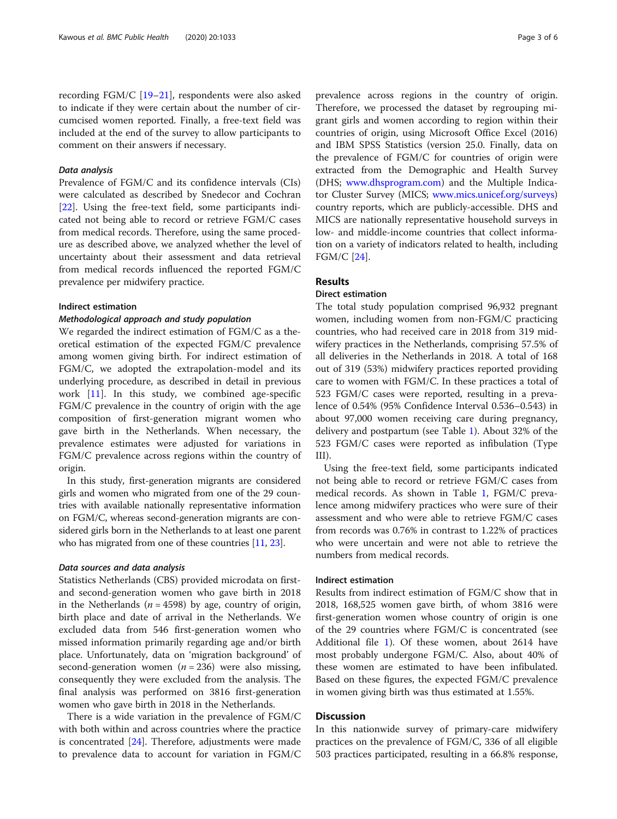recording FGM/C [[19](#page-5-0)–[21](#page-5-0)], respondents were also asked to indicate if they were certain about the number of circumcised women reported. Finally, a free-text field was included at the end of the survey to allow participants to comment on their answers if necessary.

#### Data analysis

Prevalence of FGM/C and its confidence intervals (CIs) were calculated as described by Snedecor and Cochran [[22\]](#page-5-0). Using the free-text field, some participants indicated not being able to record or retrieve FGM/C cases from medical records. Therefore, using the same procedure as described above, we analyzed whether the level of uncertainty about their assessment and data retrieval from medical records influenced the reported FGM/C prevalence per midwifery practice.

#### Indirect estimation

#### Methodological approach and study population

We regarded the indirect estimation of FGM/C as a theoretical estimation of the expected FGM/C prevalence among women giving birth. For indirect estimation of FGM/C, we adopted the extrapolation-model and its underlying procedure, as described in detail in previous work [\[11](#page-5-0)]. In this study, we combined age-specific FGM/C prevalence in the country of origin with the age composition of first-generation migrant women who gave birth in the Netherlands. When necessary, the prevalence estimates were adjusted for variations in FGM/C prevalence across regions within the country of origin.

In this study, first-generation migrants are considered girls and women who migrated from one of the 29 countries with available nationally representative information on FGM/C, whereas second-generation migrants are considered girls born in the Netherlands to at least one parent who has migrated from one of these countries [\[11,](#page-5-0) [23](#page-5-0)].

#### Data sources and data analysis

Statistics Netherlands (CBS) provided microdata on firstand second-generation women who gave birth in 2018 in the Netherlands ( $n = 4598$ ) by age, country of origin, birth place and date of arrival in the Netherlands. We excluded data from 546 first-generation women who missed information primarily regarding age and/or birth place. Unfortunately, data on 'migration background' of second-generation women ( $n = 236$ ) were also missing, consequently they were excluded from the analysis. The final analysis was performed on 3816 first-generation women who gave birth in 2018 in the Netherlands.

There is a wide variation in the prevalence of FGM/C with both within and across countries where the practice is concentrated [[24\]](#page-5-0). Therefore, adjustments were made to prevalence data to account for variation in FGM/C prevalence across regions in the country of origin. Therefore, we processed the dataset by regrouping migrant girls and women according to region within their countries of origin, using Microsoft Office Excel (2016) and IBM SPSS Statistics (version 25.0. Finally, data on the prevalence of FGM/C for countries of origin were extracted from the Demographic and Health Survey (DHS; [www.dhsprogram.com](http://www.dhsprogram.com)) and the Multiple Indicator Cluster Survey (MICS; [www.mics.unicef.org/surveys](http://www.mics.unicef.org/surveys)) country reports, which are publicly-accessible. DHS and MICS are nationally representative household surveys in low- and middle-income countries that collect information on a variety of indicators related to health, including FGM/C [[24](#page-5-0)].

#### Results

#### Direct estimation

The total study population comprised 96,932 pregnant women, including women from non-FGM/C practicing countries, who had received care in 2018 from 319 midwifery practices in the Netherlands, comprising 57.5% of all deliveries in the Netherlands in 2018. A total of 168 out of 319 (53%) midwifery practices reported providing care to women with FGM/C. In these practices a total of 523 FGM/C cases were reported, resulting in a prevalence of 0.54% (95% Confidence Interval 0.536–0.543) in about 97,000 women receiving care during pregnancy, delivery and postpartum (see Table [1\)](#page-3-0). About 32% of the 523 FGM/C cases were reported as infibulation (Type III).

Using the free-text field, some participants indicated not being able to record or retrieve FGM/C cases from medical records. As shown in Table [1,](#page-3-0) FGM/C prevalence among midwifery practices who were sure of their assessment and who were able to retrieve FGM/C cases from records was 0.76% in contrast to 1.22% of practices who were uncertain and were not able to retrieve the numbers from medical records.

#### Indirect estimation

Results from indirect estimation of FGM/C show that in 2018, 168,525 women gave birth, of whom 3816 were first-generation women whose country of origin is one of the 29 countries where FGM/C is concentrated (see Additional file [1\)](#page-4-0). Of these women, about 2614 have most probably undergone FGM/C. Also, about 40% of these women are estimated to have been infibulated. Based on these figures, the expected FGM/C prevalence in women giving birth was thus estimated at 1.55%.

#### **Discussion**

In this nationwide survey of primary-care midwifery practices on the prevalence of FGM/C, 336 of all eligible 503 practices participated, resulting in a 66.8% response,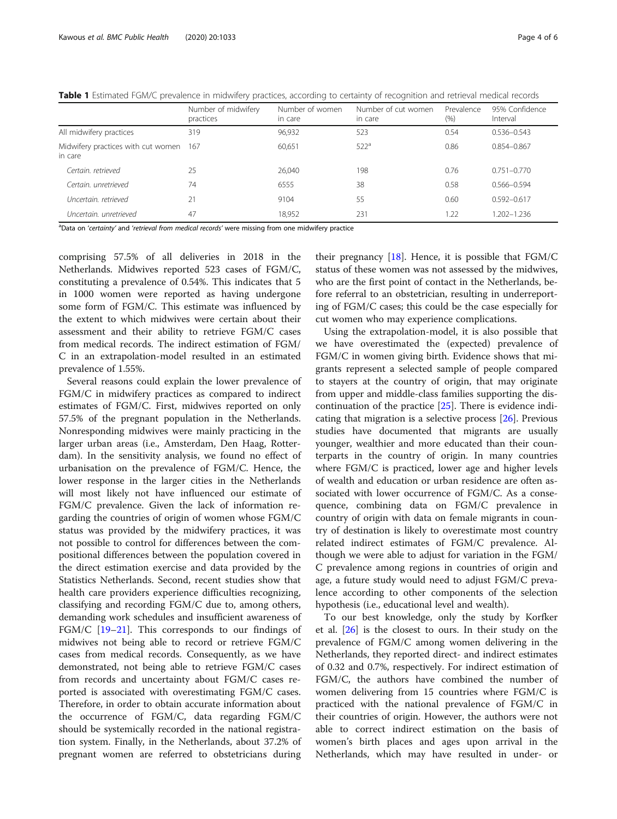|                                                   | Number of midwifery<br>practices | Number of women<br>in care | Number of cut women<br>in care | Prevalence<br>(% ) | 95% Confidence<br>Interval |
|---------------------------------------------------|----------------------------------|----------------------------|--------------------------------|--------------------|----------------------------|
| All midwifery practices                           | 319                              | 96,932                     | 523                            | 0.54               | $0.536 - 0.543$            |
| Midwifery practices with cut women 167<br>in care |                                  | 60,651                     | 522 <sup>a</sup>               | 0.86               | 0.854-0.867                |
| Certain, retrieved                                | 25                               | 26,040                     | 198                            | 0.76               | $0.751 - 0.770$            |
| Certain, unretrieved                              | 74                               | 6555                       | 38                             | 0.58               | $0.566 - 0.594$            |
| Uncertain, retrieved                              | 21                               | 9104                       | 55                             | 0.60               | $0.592 - 0.617$            |
| Uncertain, unretrieved                            | 47                               | 18.952                     | 231                            | 1.22               | 1.202-1.236                |

<span id="page-3-0"></span>Table 1 Estimated FGM/C prevalence in midwifery practices, according to certainty of recognition and retrieval medical records

<sup>a</sup>Data on 'certainty' and 'retrieval from medical records' were missing from one midwifery practice

comprising 57.5% of all deliveries in 2018 in the Netherlands. Midwives reported 523 cases of FGM/C, constituting a prevalence of 0.54%. This indicates that 5 in 1000 women were reported as having undergone some form of FGM/C. This estimate was influenced by the extent to which midwives were certain about their assessment and their ability to retrieve FGM/C cases from medical records. The indirect estimation of FGM/ C in an extrapolation-model resulted in an estimated prevalence of 1.55%.

Several reasons could explain the lower prevalence of FGM/C in midwifery practices as compared to indirect estimates of FGM/C. First, midwives reported on only 57.5% of the pregnant population in the Netherlands. Nonresponding midwives were mainly practicing in the larger urban areas (i.e., Amsterdam, Den Haag, Rotterdam). In the sensitivity analysis, we found no effect of urbanisation on the prevalence of FGM/C. Hence, the lower response in the larger cities in the Netherlands will most likely not have influenced our estimate of FGM/C prevalence. Given the lack of information regarding the countries of origin of women whose FGM/C status was provided by the midwifery practices, it was not possible to control for differences between the compositional differences between the population covered in the direct estimation exercise and data provided by the Statistics Netherlands. Second, recent studies show that health care providers experience difficulties recognizing, classifying and recording FGM/C due to, among others, demanding work schedules and insufficient awareness of FGM/C [[19](#page-5-0)–[21](#page-5-0)]. This corresponds to our findings of midwives not being able to record or retrieve FGM/C cases from medical records. Consequently, as we have demonstrated, not being able to retrieve FGM/C cases from records and uncertainty about FGM/C cases reported is associated with overestimating FGM/C cases. Therefore, in order to obtain accurate information about the occurrence of FGM/C, data regarding FGM/C should be systemically recorded in the national registration system. Finally, in the Netherlands, about 37.2% of pregnant women are referred to obstetricians during

their pregnancy  $[18]$  $[18]$ . Hence, it is possible that FGM/C status of these women was not assessed by the midwives, who are the first point of contact in the Netherlands, before referral to an obstetrician, resulting in underreporting of FGM/C cases; this could be the case especially for cut women who may experience complications.

Using the extrapolation-model, it is also possible that we have overestimated the (expected) prevalence of FGM/C in women giving birth. Evidence shows that migrants represent a selected sample of people compared to stayers at the country of origin, that may originate from upper and middle-class families supporting the discontinuation of the practice [[25](#page-5-0)]. There is evidence indicating that migration is a selective process [\[26](#page-5-0)]. Previous studies have documented that migrants are usually younger, wealthier and more educated than their counterparts in the country of origin. In many countries where FGM/C is practiced, lower age and higher levels of wealth and education or urban residence are often associated with lower occurrence of FGM/C. As a consequence, combining data on FGM/C prevalence in country of origin with data on female migrants in country of destination is likely to overestimate most country related indirect estimates of FGM/C prevalence. Although we were able to adjust for variation in the FGM/ C prevalence among regions in countries of origin and age, a future study would need to adjust FGM/C prevalence according to other components of the selection hypothesis (i.e., educational level and wealth).

To our best knowledge, only the study by Korfker et al. [\[26](#page-5-0)] is the closest to ours. In their study on the prevalence of FGM/C among women delivering in the Netherlands, they reported direct- and indirect estimates of 0.32 and 0.7%, respectively. For indirect estimation of FGM/C, the authors have combined the number of women delivering from 15 countries where FGM/C is practiced with the national prevalence of FGM/C in their countries of origin. However, the authors were not able to correct indirect estimation on the basis of women's birth places and ages upon arrival in the Netherlands, which may have resulted in under- or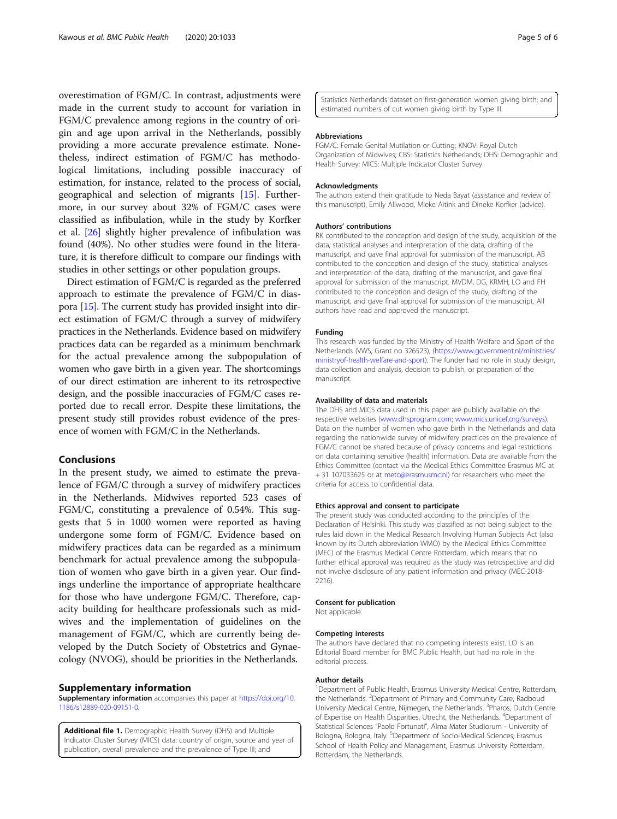<span id="page-4-0"></span>overestimation of FGM/C. In contrast, adjustments were made in the current study to account for variation in FGM/C prevalence among regions in the country of origin and age upon arrival in the Netherlands, possibly providing a more accurate prevalence estimate. Nonetheless, indirect estimation of FGM/C has methodological limitations, including possible inaccuracy of estimation, for instance, related to the process of social, geographical and selection of migrants [\[15](#page-5-0)]. Furthermore, in our survey about 32% of FGM/C cases were classified as infibulation, while in the study by Korfker et al. [[26\]](#page-5-0) slightly higher prevalence of infibulation was found (40%). No other studies were found in the literature, it is therefore difficult to compare our findings with studies in other settings or other population groups.

Direct estimation of FGM/C is regarded as the preferred approach to estimate the prevalence of FGM/C in diaspora [[15](#page-5-0)]. The current study has provided insight into direct estimation of FGM/C through a survey of midwifery practices in the Netherlands. Evidence based on midwifery practices data can be regarded as a minimum benchmark for the actual prevalence among the subpopulation of women who gave birth in a given year. The shortcomings of our direct estimation are inherent to its retrospective design, and the possible inaccuracies of FGM/C cases reported due to recall error. Despite these limitations, the present study still provides robust evidence of the presence of women with FGM/C in the Netherlands.

#### Conclusions

In the present study, we aimed to estimate the prevalence of FGM/C through a survey of midwifery practices in the Netherlands. Midwives reported 523 cases of FGM/C, constituting a prevalence of 0.54%. This suggests that 5 in 1000 women were reported as having undergone some form of FGM/C. Evidence based on midwifery practices data can be regarded as a minimum benchmark for actual prevalence among the subpopulation of women who gave birth in a given year. Our findings underline the importance of appropriate healthcare for those who have undergone FGM/C. Therefore, capacity building for healthcare professionals such as midwives and the implementation of guidelines on the management of FGM/C, which are currently being developed by the Dutch Society of Obstetrics and Gynaecology (NVOG), should be priorities in the Netherlands.

#### Supplementary information

Supplementary information accompanies this paper at [https://doi.org/10.](https://doi.org/10.1186/s12889-020-09151-0) [1186/s12889-020-09151-0](https://doi.org/10.1186/s12889-020-09151-0).

Additional file 1. Demographic Health Survey (DHS) and Multiple Indicator Cluster Survey (MICS) data: country of origin, source and year of publication, overall prevalence and the prevalence of Type III; and

Statistics Netherlands dataset on first-generation women giving birth; and estimated numbers of cut women giving birth by Type III.

#### Abbreviations

FGM/C: Female Genital Mutilation or Cutting; KNOV: Royal Dutch Organization of Midwives; CBS: Statistics Netherlands; DHS: Demographic and Health Survey; MICS: Multiple Indicator Cluster Survey

#### Acknowledgments

The authors extend their gratitude to Neda Bayat (assistance and review of this manuscript), Emily Allwood, Mieke Aitink and Dineke Korfker (advice).

#### Authors' contributions

RK contributed to the conception and design of the study, acquisition of the data, statistical analyses and interpretation of the data, drafting of the manuscript, and gave final approval for submission of the manuscript. AB contributed to the conception and design of the study, statistical analyses and interpretation of the data, drafting of the manuscript, and gave final approval for submission of the manuscript. MVDM, DG, KRMH, LO and FH contributed to the conception and design of the study, drafting of the manuscript, and gave final approval for submission of the manuscript. All authors have read and approved the manuscript.

#### Funding

This research was funded by the Ministry of Health Welfare and Sport of the Netherlands (VWS, Grant no 326523), ([https://www.government.nl/ministries/](https://www.government.nl/ministries/ministryof-health-welfare-and-sport) [ministryof-health-welfare-and-sport](https://www.government.nl/ministries/ministryof-health-welfare-and-sport)). The funder had no role in study design, data collection and analysis, decision to publish, or preparation of the manuscript.

#### Availability of data and materials

The DHS and MICS data used in this paper are publicly available on the respective websites [\(www.dhsprogram.com](http://www.dhsprogram.com); [www.mics.unicef.org/surveys](http://www.mics.unicef.org/surveys)). Data on the number of women who gave birth in the Netherlands and data regarding the nationwide survey of midwifery practices on the prevalence of FGM/C cannot be shared because of privacy concerns and legal restrictions on data containing sensitive (health) information. Data are available from the Ethics Committee (contact via the Medical Ethics Committee Erasmus MC at + 31 107033625 or at [metc@erasmusmc.nl](mailto:metc@erasmusmc.nl)) for researchers who meet the criteria for access to confidential data.

#### Ethics approval and consent to participate

The present study was conducted according to the principles of the Declaration of Helsinki. This study was classified as not being subject to the rules laid down in the Medical Research Involving Human Subjects Act (also known by its Dutch abbreviation WMO) by the Medical Ethics Committee (MEC) of the Erasmus Medical Centre Rotterdam, which means that no further ethical approval was required as the study was retrospective and did not involve disclosure of any patient information and privacy (MEC-2018- 2216).

#### Consent for publication

Not applicable.

#### Competing interests

The authors have declared that no competing interests exist. LO is an Editorial Board member for BMC Public Health, but had no role in the editorial process.

#### Author details

<sup>1</sup>Department of Public Health, Erasmus University Medical Centre, Rotterdam, the Netherlands. <sup>2</sup>Department of Primary and Community Care, Radboud University Medical Centre, Nijmegen, the Netherlands. <sup>3</sup>Pharos, Dutch Centre of Expertise on Health Disparities, Utrecht, the Netherlands. <sup>4</sup>Department of Statistical Sciences "Paolo Fortunati", Alma Mater Studiorum - University of Bologna, Bologna, Italy. <sup>5</sup>Department of Socio-Medical Sciences, Erasmus School of Health Policy and Management, Erasmus University Rotterdam, Rotterdam, the Netherlands.